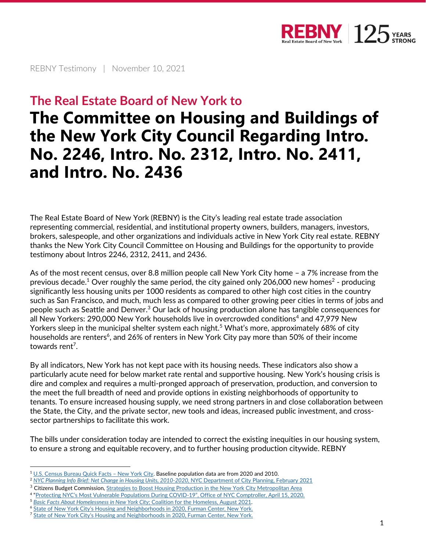

REBNY Testimony | November 10, 2021

## **The Real Estate Board of New York to**

# **The Committee on Housing and Buildings of the New York City Council Regarding Intro. No. 2246, Intro. No. 2312, Intro. No. 2411, and Intro. No. 2436**

The Real Estate Board of New York (REBNY) is the City's leading real estate trade association representing commercial, residential, and institutional property owners, builders, managers, investors, brokers, salespeople, and other organizations and individuals active in New York City real estate. REBNY thanks the New York City Council Committee on Housing and Buildings for the opportunity to provide testimony about Intros 2246, 2312, 2411, and 2436.

As of the most recent census, over 8.8 million people call New York City home – a 7% increase from the previous decade. $^1$  Over roughly the same period, the city gained only 206,000 new homes $^2$  - producing significantly less housing units per 1000 residents as compared to other high cost cities in the country such as San Francisco, and much, much less as compared to other growing peer cities in terms of jobs and people such as Seattle and Denver.<sup>3</sup> Our lack of housing production alone has tangible consequences for all New Yorkers: 290,000 New York households live in overcrowded conditions<sup>4</sup> and 47,979 New Yorkers sleep in the municipal shelter system each night.<sup>5</sup> What's more, approximately 68% of city households are renters<sup>6</sup>, and 26% of renters in New York City pay more than 50% of their income towards rent<sup>7</sup>.

By all indicators, New York has not kept pace with its housing needs. These indicators also show a particularly acute need for below market rate rental and supportive housing. New York's housing crisis is dire and complex and requires a multi-pronged approach of preservation, production, and conversion to the meet the full breadth of need and provide options in existing neighborhoods of opportunity to tenants. To ensure increased housing supply, we need strong partners in and close collaboration between the State, the City, and the private sector, new tools and ideas, increased public investment, and crosssector partnerships to facilitate this work.

The bills under consideration today are intended to correct the existing inequities in our housing system, to ensure a strong and equitable recovery, and to further housing production citywide. REBNY

<sup>1</sup> [U.S. Census Bureau Quick Facts](https://www.census.gov/quickfacts/newyorkcitynewyork) – New York City. Baseline population data are from 2020 and 2010.

<sup>2</sup> *[NYC Planning Info Brief: Net Change in Housing Units, 2010-2020,](https://www1.nyc.gov/assets/planning/download/pdf/planning-level/housing-economy/info-brief-net-change-housing-units-2010-2020.pdf?r=2)* NYC Department of City Planning, February 2021

<sup>&</sup>lt;sup>3</sup> Citizens Budget Commission, *Strategies to Boost Housing Production in the New York City Metropolitan Area* 

<sup>4</sup> ["Protecting NYC's Most Vulnerable Populations During COVID](https://comptroller.nyc.gov/reports/protecting-nycs-most-vulnerable-populations-during-covid-19/)-19", Office of NYC Comptroller, April 15, 2020.

<sup>5</sup> *[Basic Facts About Homelessness in New York City;](https://www.coalitionforthehomeless.org/wp-content/uploads/2021/10/NYCHomelessnessFactSheet8-2021_citations.pdf)* Coalition for the Homeless, August 2021.

<sup>&</sup>lt;sup>6</sup> [State of New York City's Housing and Neighborhoods in 2020, Furman Center, New York.](https://furmancenter.org/stateofthecity/view/state-of-renters-and-their-homes)

<sup>&</sup>lt;sup>7</sup> [State of New York City's Housing and Neighborhoods in 2020, Furman Center, New York.](https://furmancenter.org/stateofthecity/view/state-of-renters-and-their-homes)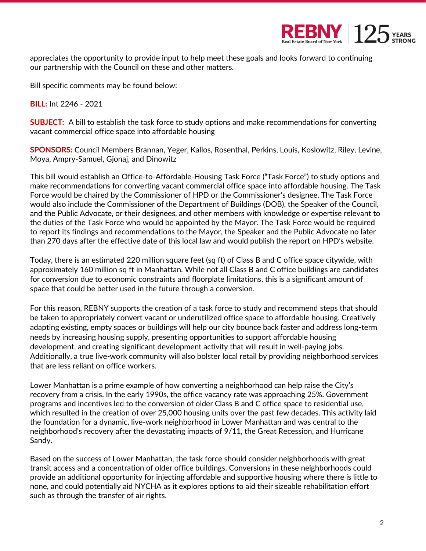

appreciates the opportunity to provide input to help meet these goals and looks forward to continuing our partnership with the Council on these and other matters.

Bill specific comments may be found below:

**BILL:** Int 2246 - 2021

**SUBJECT:** A bill to establish the task force to study options and make recommendations for converting vacant commercial office space into affordable housing

**SPONSORS:** Council Members Brannan, Yeger, Kallos, Rosenthal, Perkins, Louis, Koslowitz, Riley, Levine, Moya, Ampry-Samuel, Gjonaj, and Dinowitz

This bill would establish an Office-to-Affordable-Housing Task Force ("Task Force") to study options and make recommendations for converting vacant commercial office space into affordable housing. The Task Force would be chaired by the Commissioner of HPD or the Commissioner's designee. The Task Force would also include the Commissioner of the Department of Buildings (DOB), the Speaker of the Council, and the Public Advocate, or their designees, and other members with knowledge or expertise relevant to the duties of the Task Force who would be appointed by the Mayor. The Task Force would be required to report its findings and recommendations to the Mayor, the Speaker and the Public Advocate no later than 270 days after the effective date of this local law and would publish the report on HPD's website.

Today, there is an estimated 220 million square feet (sq ft) of Class B and C office space citywide, with approximately 160 million sq ft in Manhattan. While not all Class B and C office buildings are candidates for conversion due to economic constraints and floorplate limitations, this is a significant amount of space that could be better used in the future through a conversion.

For this reason, REBNY supports the creation of a task force to study and recommend steps that should be taken to appropriately convert vacant or underutilized office space to affordable housing. Creatively adapting existing, empty spaces or buildings will help our city bounce back faster and address long-term needs by increasing housing supply, presenting opportunities to support affordable housing development, and creating significant development activity that will result in well-paying jobs. Additionally, a true live-work community will also bolster local retail by providing neighborhood services that are less reliant on office workers.

Lower Manhattan is a prime example of how converting a neighborhood can help raise the City's recovery from a crisis. In the early 1990s, the office vacancy rate was approaching 25%. Government programs and incentives led to the conversion of older Class B and C office space to residential use, which resulted in the creation of over 25,000 housing units over the past few decades. This activity laid the foundation for a dynamic, live-work neighborhood in Lower Manhattan and was central to the neighborhood's recovery after the devastating impacts of 9/11, the Great Recession, and Hurricane Sandy.

Based on the success of Lower Manhattan, the task force should consider neighborhoods with great transit access and a concentration of older office buildings. Conversions in these neighborhoods could provide an additional opportunity for injecting affordable and supportive housing where there is little to none, and could potentially aid NYCHA as it explores options to aid their sizeable rehabilitation effort such as through the transfer of air rights.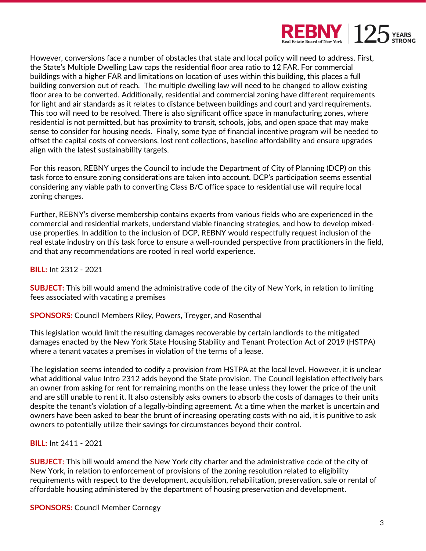

However, conversions face a number of obstacles that state and local policy will need to address. First, the State's Multiple Dwelling Law caps the residential floor area ratio to 12 FAR. For commercial buildings with a higher FAR and limitations on location of uses within this building, this places a full building conversion out of reach. The multiple dwelling law will need to be changed to allow existing floor area to be converted. Additionally, residential and commercial zoning have different requirements for light and air standards as it relates to distance between buildings and court and yard requirements. This too will need to be resolved. There is also significant office space in manufacturing zones, where residential is not permitted, but has proximity to transit, schools, jobs, and open space that may make sense to consider for housing needs. Finally, some type of financial incentive program will be needed to offset the capital costs of conversions, lost rent collections, baseline affordability and ensure upgrades align with the latest sustainability targets.

For this reason, REBNY urges the Council to include the Department of City of Planning (DCP) on this task force to ensure zoning considerations are taken into account. DCP's participation seems essential considering any viable path to converting Class B/C office space to residential use will require local zoning changes.

Further, REBNY's diverse membership contains experts from various fields who are experienced in the commercial and residential markets, understand viable financing strategies, and how to develop mixeduse properties. In addition to the inclusion of DCP, REBNY would respectfully request inclusion of the real estate industry on this task force to ensure a well-rounded perspective from practitioners in the field, and that any recommendations are rooted in real world experience.

**BILL:** Int 2312 - 2021

**SUBJECT:** This bill would amend the administrative code of the city of New York, in relation to limiting fees associated with vacating a premises

**SPONSORS:** Council Members Riley, Powers, Treyger, and Rosenthal

This legislation would limit the resulting damages recoverable by certain landlords to the mitigated damages enacted by the New York State Housing Stability and Tenant Protection Act of 2019 (HSTPA) where a tenant vacates a premises in violation of the terms of a lease.

The legislation seems intended to codify a provision from HSTPA at the local level. However, it is unclear what additional value Intro 2312 adds beyond the State provision. The Council legislation effectively bars an owner from asking for rent for remaining months on the lease unless they lower the price of the unit and are still unable to rent it. It also ostensibly asks owners to absorb the costs of damages to their units despite the tenant's violation of a legally-binding agreement. At a time when the market is uncertain and owners have been asked to bear the brunt of increasing operating costs with no aid, it is punitive to ask owners to potentially utilize their savings for circumstances beyond their control.

#### **BILL:** Int 2411 - 2021

**SUBJECT:** This bill would amend the New York city charter and the administrative code of the city of New York, in relation to enforcement of provisions of the zoning resolution related to eligibility requirements with respect to the development, acquisition, rehabilitation, preservation, sale or rental of affordable housing administered by the department of housing preservation and development.

**SPONSORS:** Council Member Cornegy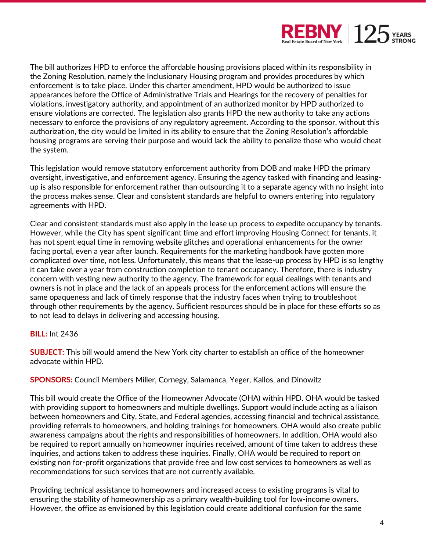

The bill authorizes HPD to enforce the affordable housing provisions placed within its responsibility in the Zoning Resolution, namely the Inclusionary Housing program and provides procedures by which enforcement is to take place. Under this charter amendment, HPD would be authorized to issue appearances before the Office of Administrative Trials and Hearings for the recovery of penalties for violations, investigatory authority, and appointment of an authorized monitor by HPD authorized to ensure violations are corrected. The legislation also grants HPD the new authority to take any actions necessary to enforce the provisions of any regulatory agreement. According to the sponsor, without this authorization, the city would be limited in its ability to ensure that the Zoning Resolution's affordable housing programs are serving their purpose and would lack the ability to penalize those who would cheat the system.

This legislation would remove statutory enforcement authority from DOB and make HPD the primary oversight, investigative, and enforcement agency. Ensuring the agency tasked with financing and leasingup is also responsible for enforcement rather than outsourcing it to a separate agency with no insight into the process makes sense. Clear and consistent standards are helpful to owners entering into regulatory agreements with HPD.

Clear and consistent standards must also apply in the lease up process to expedite occupancy by tenants. However, while the City has spent significant time and effort improving Housing Connect for tenants, it has not spent equal time in removing website glitches and operational enhancements for the owner facing portal, even a year after launch. Requirements for the marketing handbook have gotten more complicated over time, not less. Unfortunately, this means that the lease-up process by HPD is so lengthy it can take over a year from construction completion to tenant occupancy. Therefore, there is industry concern with vesting new authority to the agency. The framework for equal dealings with tenants and owners is not in place and the lack of an appeals process for the enforcement actions will ensure the same opaqueness and lack of timely response that the industry faces when trying to troubleshoot through other requirements by the agency. Sufficient resources should be in place for these efforts so as to not lead to delays in delivering and accessing housing.

#### **BILL:** Int 2436

**SUBJECT:** This bill would amend the New York city charter to establish an office of the homeowner advocate within HPD.

#### **SPONSORS:** Council Members Miller, Cornegy, Salamanca, Yeger, Kallos, and Dinowitz

This bill would create the Office of the Homeowner Advocate (OHA) within HPD. OHA would be tasked with providing support to homeowners and multiple dwellings. Support would include acting as a liaison between homeowners and City, State, and Federal agencies, accessing financial and technical assistance, providing referrals to homeowners, and holding trainings for homeowners. OHA would also create public awareness campaigns about the rights and responsibilities of homeowners. In addition, OHA would also be required to report annually on homeowner inquiries received, amount of time taken to address these inquiries, and actions taken to address these inquiries. Finally, OHA would be required to report on existing non for-profit organizations that provide free and low cost services to homeowners as well as recommendations for such services that are not currently available.

Providing technical assistance to homeowners and increased access to existing programs is vital to ensuring the stability of homeownership as a primary wealth-building tool for low-income owners. However, the office as envisioned by this legislation could create additional confusion for the same